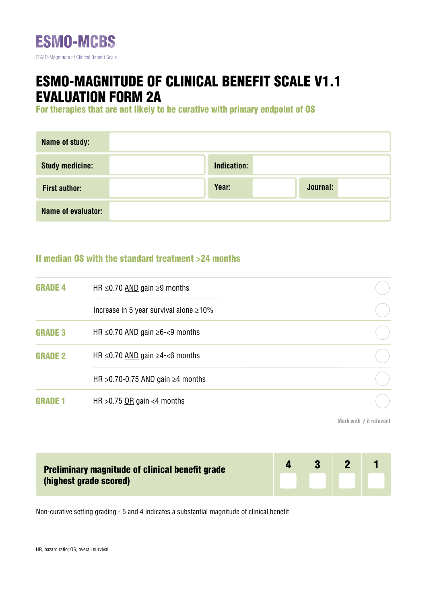

## ESMO-MAGNITUDE OF CLINICAL BENEFIT SCALE V1.1 EVALUATION FORM 2A

For therapies that are not likely to be curative with primary endpoint of OS

| Name of study:         |             |          |
|------------------------|-------------|----------|
| <b>Study medicine:</b> | Indication: |          |
| <b>First author:</b>   | Year:       | Journal: |
| Name of evaluator:     |             |          |

## If median OS with the standard treatment >24 months

| <b>GRADE 4</b> | HR $\leq$ 0.70 AND gain $\geq$ 9 months          |  |
|----------------|--------------------------------------------------|--|
|                | Increase in 5 year survival alone $\geq 10\%$    |  |
| <b>GRADE 3</b> | HR $\leq$ 0.70 AND gain $\geq$ 6- $\lt$ 9 months |  |
| <b>GRADE 2</b> | HR $\leq$ 0.70 AND gain $\geq$ 4- $<$ 6 months   |  |
|                | HR > 0.70-0.75 AND gain $\geq 4$ months          |  |
|                | HR $>0.75$ OR gain <4 months                     |  |

**Mark with √ if relevant**

| <b>Preliminary magnitude of clinical benefit grade</b><br>(highest grade scored) | <b>137</b> |  |
|----------------------------------------------------------------------------------|------------|--|
|                                                                                  |            |  |

Non-curative setting grading - 5 and 4 indicates a substantial magnitude of clinical benefit